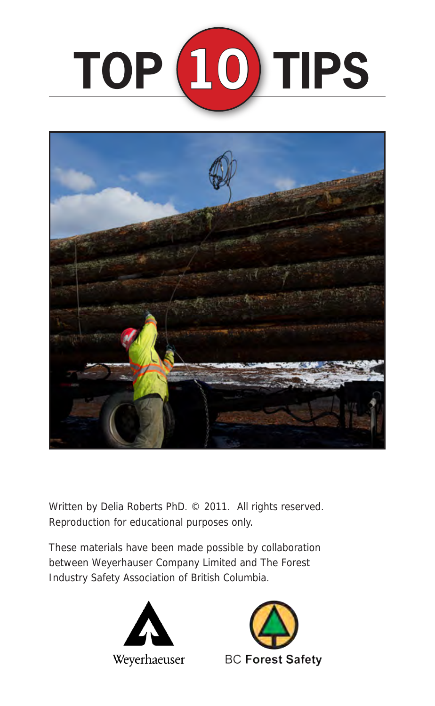



Written by Delia Roberts PhD. © 2011. All rights reserved. Reproduction for educational purposes only.

These materials have been made possible by collaboration between Weyerhauser Company Limited and The Forest Industry Safety Association of British Columbia.



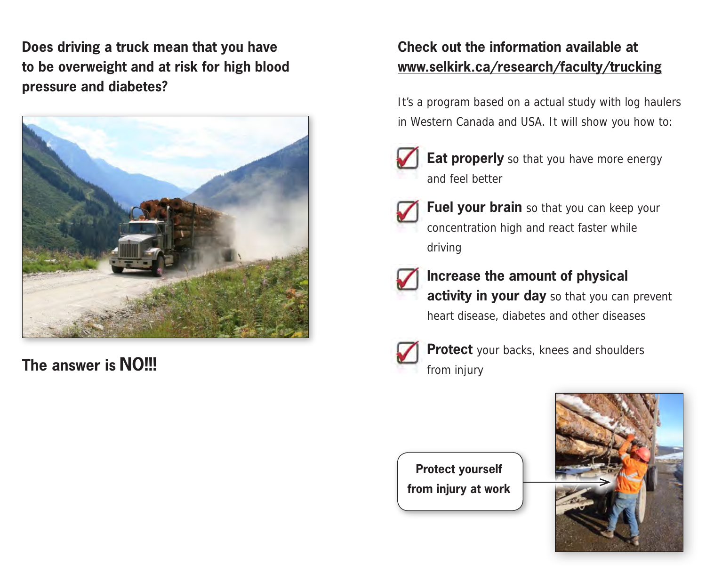**Does driving a truck mean that you have to be overweight and at risk for high blood pressure and diabetes?**



**The answer is NO!!! The answer is NO!!!** 

## **Check out the information available at www.selkirk.ca/research/faculty/trucking**

It's a program based on a actual study with log haulers in Western Canada and USA. It will show you how to:



**Eat properly** so that you have more energy and feel better



**Fuel your brain** so that you can keep your concentration high and react faster while driving



## **Increase the amount of physical**

**activity in your day** so that you can prevent heart disease, diabetes and other diseases



**Protect** your backs, knees and shoulders

**Protect yourself from injury at work**

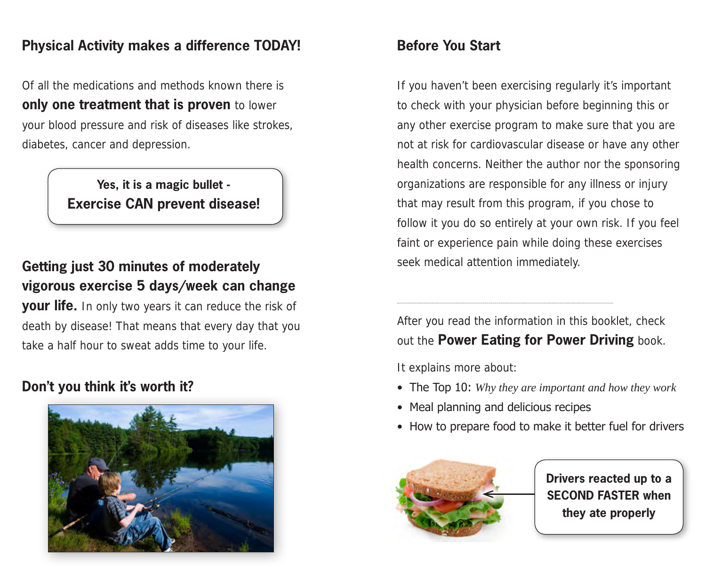### **Physical Activity makes a difference TODAY!**

Of all the medications and methods known there is **only one treatment that is proven** to lower your blood pressure and risk of diseases like strokes, diabetes, cancer and depression.

> **Yes, it is a magic bullet - Exercise CAN prevent disease!**

## **Getting just 30 minutes of moderately vigorous exercise 5 days/week can change**

**your life.** In only two years it can reduce the risk of death by disease! That means that every day that you take a half hour to sweat adds time to your life.

## **Don't you think it's worth it?**



## **Before You Start**

If you haven't been exercising regularly it's important to check with your physician before beginning this or any other exercise program to make sure that you are not at risk for cardiovascular disease or have any other health concerns. Neither the author nor the sponsoring organizations are responsible for any illness or injury that may result from this program, if you chose to follow it you do so entirely at your own risk. If you feel faint or experience pain while doing these exercises seek medical attention immediately.

After you read the information in this booklet, check out the **Power Eating for Power Driving** book.

It explains more about:

- The Top 10: *Why they are important and how they work*
- Meal planning and delicious recipes
- How to prepare food to make it better fuel for drivers



**Drivers reacted up to a SECOND FASTER when they ate properly**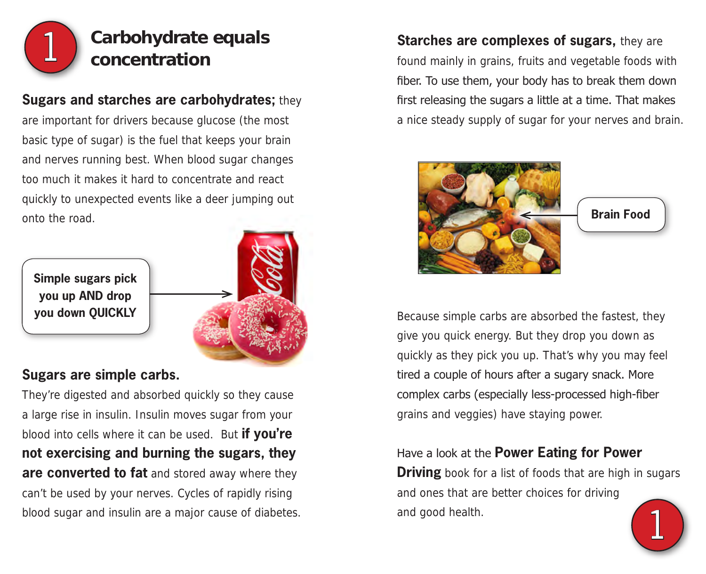

# **Carbohydrate equals concentration**

### **Sugars and starches are carbohydrates;** they

are important for drivers because glucose (the most basic type of sugar) is the fuel that keeps your brain and nerves running best. When blood sugar changes too much it makes it hard to concentrate and react quickly to unexpected events like a deer jumping out onto the road.



### **Sugars are simple carbs.**

They're digested and absorbed quickly so they cause a large rise in insulin. Insulin moves sugar from your blood into cells where it can be used. But **if you're not exercising and burning the sugars, they are converted to fat** and stored away where they can't be used by your nerves. Cycles of rapidly rising blood sugar and insulin are a major cause of diabetes.

**Starches are complexes of sugars,** they are found mainly in grains, fruits and vegetable foods with fiber. To use them, your body has to break them down first releasing the sugars a little at a time. That makes a nice steady supply of sugar for your nerves and brain.



Because simple carbs are absorbed the fastest, they give you quick energy. But they drop you down as quickly as they pick you up. That's why you may feel tired a couple of hours after a sugary snack. More complex carbs (especially less-processed high-fiber grains and veggies) have staying power.

## Have a look at the **Power Eating for Power Driving** book for a list of foods that are high in sugars and ones that are better choices for driving and good health. 1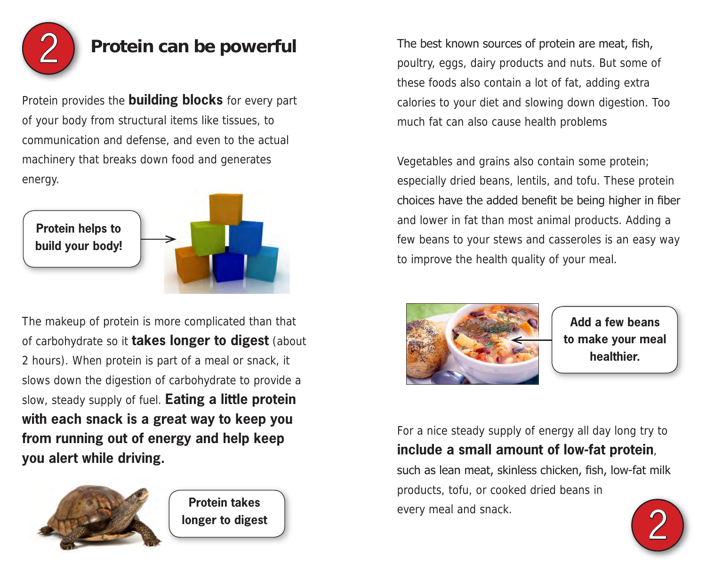

Protein provides the **building blocks** for every part of your body from structural items like tissues, to communication and defense, and even to the actual machinery that breaks down food and generates energy.



The makeup of protein is more complicated than that of carbohydrate so it **takes longer to digest** (about 2 hours). When protein is part of a meal or snack, it slows down the digestion of carbohydrate to provide a slow, steady supply of fuel. **Eating a little protein with each snack is a great way to keep you from running out of energy and help keep you alert while driving.**



**Protein takes longer to digest**

**Protein can be powerful** The best known sources of protein are meat, fish, poultry, eggs, dairy products and nuts. But some of these foods also contain a lot of fat, adding extra calories to your diet and slowing down digestion. Too much fat can also cause health problems

> Vegetables and grains also contain some protein; especially dried beans, lentils, and tofu. These protein choices have the added benefit be being higher in fiber and lower in fat than most animal products. Adding a few beans to your stews and casseroles is an easy way to improve the health quality of your meal.



**Add a few beans to make your meal healthier.**

For a nice steady supply of energy all day long try to **include a small amount of low-fat protein**,

such as lean meat, skinless chicken, fish, low-fat milk products, tofu, or cooked dried beans in every meal and snack.

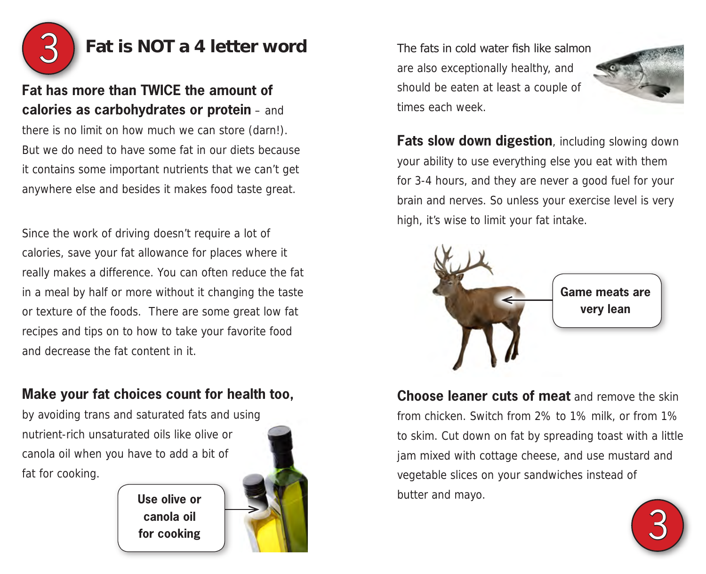

## **Fat is NOT a 4 letter word** The fats in cold water fish like salmon

## **Fat has more than TWICE the amount of calories as carbohydrates or protein** – and

there is no limit on how much we can store (darn!). But we do need to have some fat in our diets because it contains some important nutrients that we can't get anywhere else and besides it makes food taste great.

Since the work of driving doesn't require a lot of calories, save your fat allowance for places where it really makes a difference. You can often reduce the fat in a meal by half or more without it changing the taste or texture of the foods. There are some great low fat recipes and tips on to how to take your favorite food and decrease the fat content in it.

## **Make your fat choices count for health too,**

**Use olive or canola oil**

by avoiding trans and saturated fats and using nutrient-rich unsaturated oils like olive or canola oil when you have to add a bit of fat for cooking.



are also exceptionally healthy, and should be eaten at least a couple of times each week.



**Fats slow down digestion**, including slowing down your ability to use everything else you eat with them for 3-4 hours, and they are never a good fuel for your brain and nerves. So unless your exercise level is very high, it's wise to limit your fat intake.



**Choose leaner cuts of meat** and remove the skin from chicken. Switch from 2% to 1% milk, or from 1% to skim. Cut down on fat by spreading toast with a little jam mixed with cottage cheese, and use mustard and vegetable slices on your sandwiches instead of butter and mayo.

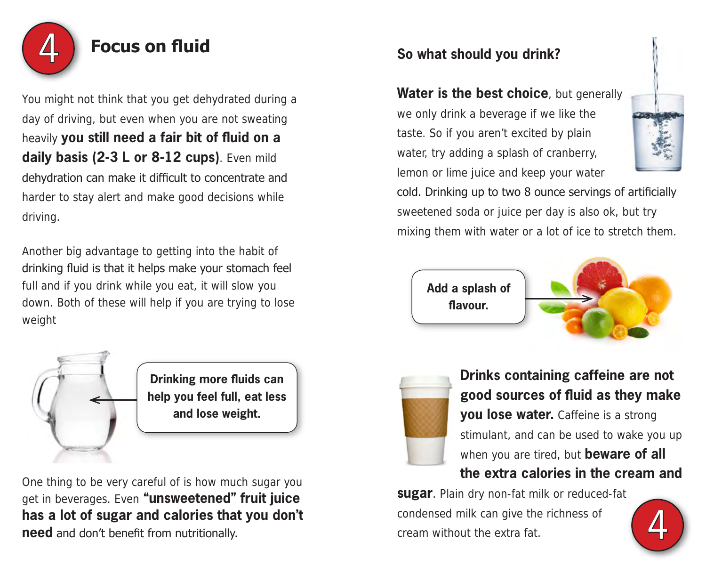

You might not think that you get dehydrated during a day of driving, but even when you are not sweating heavily **you still need a fair bit of fluid on a daily basis (2-3 L or 8-12 cups)**. Even mild dehydration can make it difficult to concentrate and harder to stay alert and make good decisions while driving.

Another big advantage to getting into the habit of drinking fluid is that it helps make your stomach feel full and if you drink while you eat, it will slow you down. Both of these will help if you are trying to lose weight



**Drinking more fluids can help you feel full, eat less and lose weight.**

One thing to be very careful of is how much sugar you get in beverages. Even **"unsweetened" fruit juice has a lot of sugar and calories that you don't need** and don't benefit from nutritionally.

# **Focus on fluid So what should you drink?** So what should you drink?

**Water is the best choice**, but generally we only drink a beverage if we like the taste. So if you aren't excited by plain water, try adding a splash of cranberry, lemon or lime juice and keep your water



cold. Drinking up to two 8 ounce servings of artificially sweetened soda or juice per day is also ok, but try mixing them with water or a lot of ice to stretch them.







**Drinks containing caffeine are not good sources of fluid as they make you lose water.** Caffeine is a strong stimulant, and can be used to wake you up when you are tired, but **beware of all the extra calories in the cream and** 

**sugar**. Plain dry non-fat milk or reduced-fat condensed milk can give the richness of cream without the extra fat.

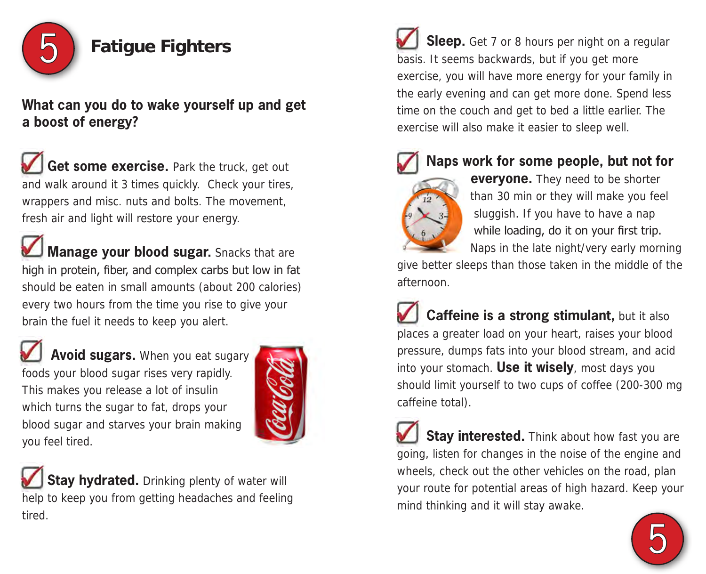

**What can you do to wake yourself up and get a boost of energy?**

Get some exercise. Park the truck, get out and walk around it 3 times quickly. Check your tires, wrappers and misc. nuts and bolts. The movement, fresh air and light will restore your energy.

**Manage your blood sugar.** Snacks that are high in protein, fiber, and complex carbs but low in fat should be eaten in small amounts (about 200 calories) every two hours from the time you rise to give your brain the fuel it needs to keep you alert.

 **Avoid sugars.** When you eat sugary foods your blood sugar rises very rapidly. This makes you release a lot of insulin which turns the sugar to fat, drops your blood sugar and starves your brain making you feel tired.



**Stay hydrated.** Drinking plenty of water will help to keep you from getting headaches and feeling tired.

**Sleep.** Get 7 or 8 hours per night on a regular basis. It seems backwards, but if you get more exercise, you will have more energy for your family in the early evening and can get more done. Spend less time on the couch and get to bed a little earlier. The exercise will also make it easier to sleep well.



 **Naps work for some people, but not for** 

 **everyone.** They need to be shorter than 30 min or they will make you feel sluggish. If you have to have a nap while loading, do it on your first trip. Naps in the late night/very early morning

give better sleeps than those taken in the middle of the afternoon.

 **Caffeine is a strong stimulant,** but it also places a greater load on your heart, raises your blood pressure, dumps fats into your blood stream, and acid into your stomach. **Use it wisely**, most days you should limit yourself to two cups of coffee (200-300 mg caffeine total).

**Stay interested.** Think about how fast you are going, listen for changes in the noise of the engine and wheels, check out the other vehicles on the road, plan your route for potential areas of high hazard. Keep your mind thinking and it will stay awake.

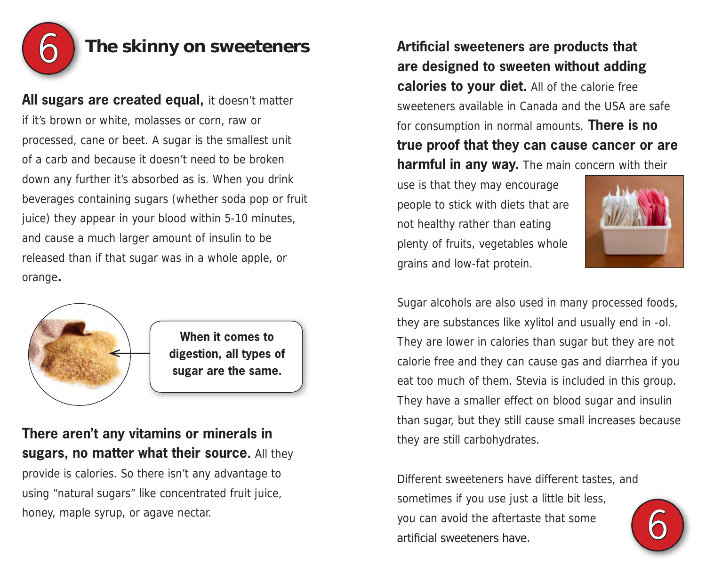

## 6 **The skinny on sweeteners**

All sugars are created equal, it doesn't matter if it's brown or white, molasses or corn, raw or processed, cane or beet. A sugar is the smallest unit of a carb and because it doesn't need to be broken down any further it's absorbed as is. When you drink beverages containing sugars (whether soda pop or fruit juice) they appear in your blood within 5-10 minutes, and cause a much larger amount of insulin to be released than if that sugar was in a whole apple, or orange**.**



**When it comes to digestion, all types of sugar are the same.**

**There aren't any vitamins or minerals in sugars, no matter what their source.** All they provide is calories. So there isn't any advantage to using "natural sugars" like concentrated fruit juice, honey, maple syrup, or agave nectar.

**Artificial sweeteners are products that are designed to sweeten without adding calories to your diet.** All of the calorie free sweeteners available in Canada and the USA are safe for consumption in normal amounts. **There is no true proof that they can cause cancer or are harmful in any way.** The main concern with their

use is that they may encourage people to stick with diets that are not healthy rather than eating plenty of fruits, vegetables whole grains and low-fat protein.



Sugar alcohols are also used in many processed foods, they are substances like xylitol and usually end in -ol. They are lower in calories than sugar but they are not calorie free and they can cause gas and diarrhea if you eat too much of them. Stevia is included in this group. They have a smaller effect on blood sugar and insulin than sugar, but they still cause small increases because they are still carbohydrates.

Different sweeteners have different tastes, and sometimes if you use just a little bit less, you can avoid the aftertaste that some artificial sweeteners have.

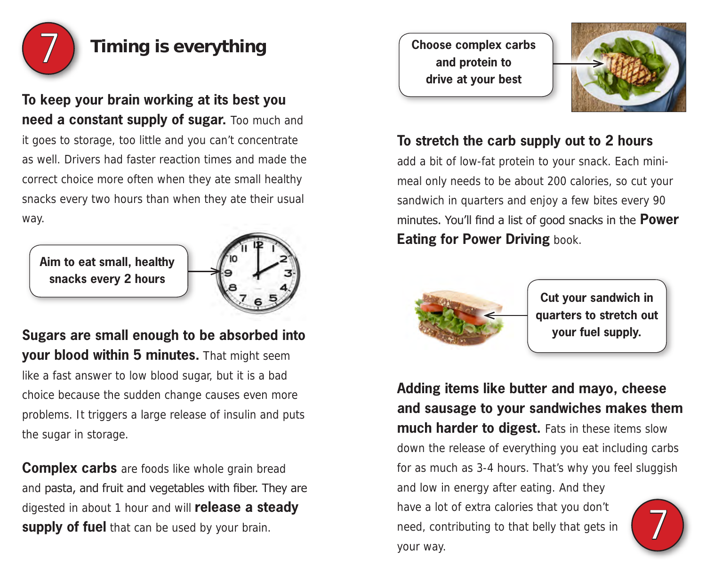

## **Timing is everything**

**To keep your brain working at its best you need a constant supply of sugar.** Too much and it goes to storage, too little and you can't concentrate as well. Drivers had faster reaction times and made the correct choice more often when they ate small healthy snacks every two hours than when they ate their usual way.

**Aim to eat small, healthy snacks every 2 hours**



**Sugars are small enough to be absorbed into your blood within 5 minutes.** That might seem like a fast answer to low blood sugar, but it is a bad choice because the sudden change causes even more problems. It triggers a large release of insulin and puts the sugar in storage.

**Complex carbs** are foods like whole grain bread and pasta, and fruit and vegetables with fiber. They are digested in about 1 hour and will **release a steady supply of fuel** that can be used by your brain.

**Choose complex carbs and protein to drive at your best**



## **To stretch the carb supply out to 2 hours**

add a bit of low-fat protein to your snack. Each minimeal only needs to be about 200 calories, so cut your sandwich in quarters and enjoy a few bites every 90 minutes. You'll find a list of good snacks in the **Power Eating for Power Driving** book.



**Cut your sandwich in quarters to stretch out your fuel supply.**

**Adding items like butter and mayo, cheese and sausage to your sandwiches makes them much harder to digest.** Fats in these items slow down the release of everything you eat including carbs for as much as 3-4 hours. That's why you feel sluggish and low in energy after eating. And they have a lot of extra calories that you don't need, contributing to that belly that gets in your way. 7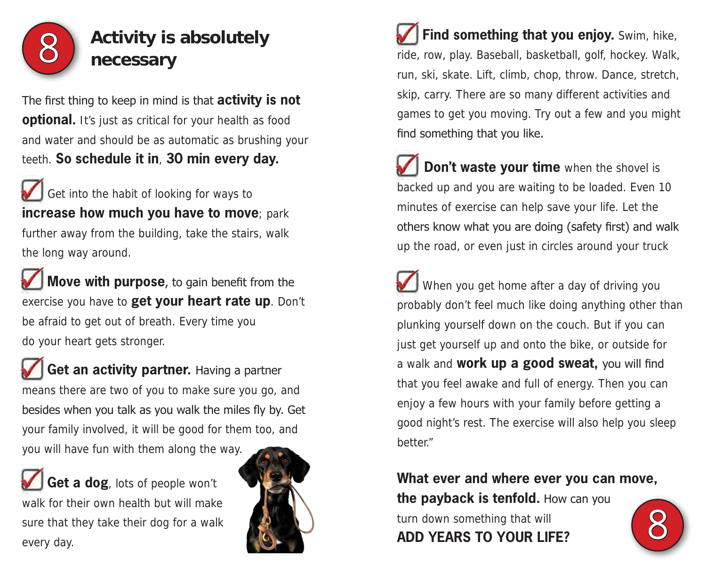

# **Activity is absolutely necessary**

The first thing to keep in mind is that **activity is not optional.** It's just as critical for your health as food and water and should be as automatic as brushing your teeth. **So schedule it in**, **30 min every day.**

ï Get into the habit of looking for ways to **increase how much you have to move**; park further away from the building, take the stairs, walk the long way around.

 **Move with purpose**, to gain benefit from the exercise you have to **get your heart rate up**. Don't be afraid to get out of breath. Every time you do your heart gets stronger.

 **Get an activity partner.** Having a partner means there are two of you to make sure you go, and besides when you talk as you walk the miles fly by. Get your family involved, it will be good for them too, and you will have fun with them along the way.

 **Get a dog**, lots of people won't walk for their own health but will make sure that they take their dog for a walk every day.



 **Find something that you enjoy.** Swim, hike, ride, row, play. Baseball, basketball, golf, hockey. Walk, run, ski, skate. Lift, climb, chop, throw. Dance, stretch, skip, carry. There are so many different activities and games to get you moving. Try out a few and you might find something that you like.

**Don't waste your time** when the shovel is backed up and you are waiting to be loaded. Even 10 minutes of exercise can help save your life. Let the others know what you are doing (safety first) and walk up the road, or even just in circles around your truck

 When you get home after a day of driving you probably don't feel much like doing anything other than plunking yourself down on the couch. But if you can just get yourself up and onto the bike, or outside for a walk and **work up a good sweat,** you will find that you feel awake and full of energy. Then you can enjoy a few hours with your family before getting a good night's rest. The exercise will also help you sleep better."

## **What ever and where ever you can move, the payback is tenfold.** How can you

turn down something that will **ADD YEARS TO YOUR LIFE?** 

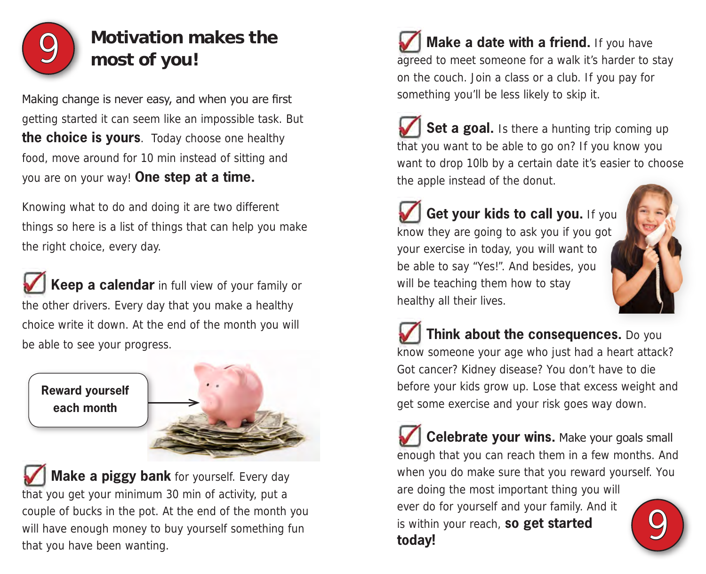

# **Motivation makes the most of you!**

Making change is never easy, and when you are first getting started it can seem like an impossible task. But **the choice is yours**. Today choose one healthy food, move around for 10 min instead of sitting and you are on your way! **One step at a time.**

Knowing what to do and doing it are two different things so here is a list of things that can help you make the right choice, every day.

Í **Keep a calendar** in full view of your family or the other drivers. Every day that you make a healthy choice write it down. At the end of the month you will be able to see your progress.

**Reward yourself each month**



 **Make a piggy bank** for yourself. Every day that you get your minimum 30 min of activity, put a couple of bucks in the pot. At the end of the month you will have enough money to buy yourself something fun that you have been wanting.

**Make a date with a friend.** If you have agreed to meet someone for a walk it's harder to stay on the couch. Join a class or a club. If you pay for something you'll be less likely to skip it.

**Set a goal.** Is there a hunting trip coming up that you want to be able to go on? If you know you want to drop 10lb by a certain date it's easier to choose the apple instead of the donut.

Get your kids to call you. If you know they are going to ask you if you got your exercise in today, you will want to be able to say "Yes!". And besides, you will be teaching them how to stay healthy all their lives.



 **Think about the consequences.** Do you know someone your age who just had a heart attack? Got cancer? Kidney disease? You don't have to die before your kids grow up. Lose that excess weight and get some exercise and your risk goes way down.

 **Celebrate your wins.** Make your goals small enough that you can reach them in a few months. And when you do make sure that you reward yourself. You are doing the most important thing you will ever do for yourself and your family. And it is within your reach, **so get started today!** 9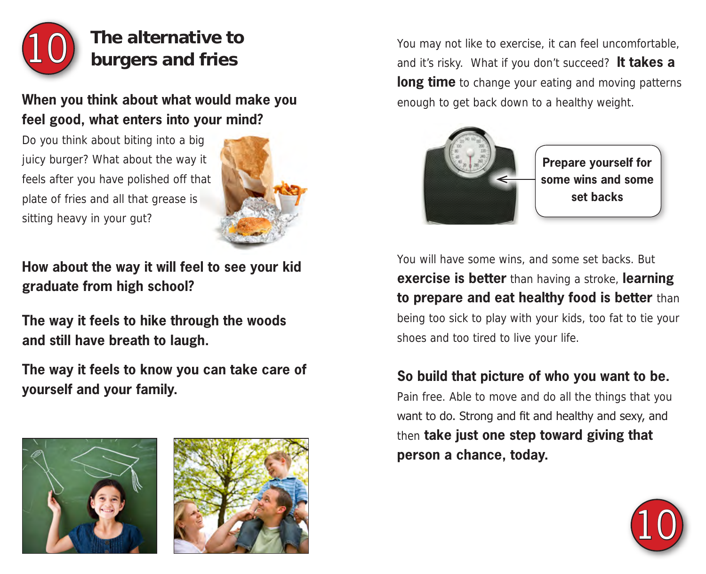

# **The alternative to burgers and fries**

## **When you think about what would make you feel good, what enters into your mind?**

Do you think about biting into a big juicy burger? What about the way it feels after you have polished off that plate of fries and all that grease is sitting heavy in your gut?



**How about the way it will feel to see your kid graduate from high school?** 

**The way it feels to hike through the woods and still have breath to laugh.** 

**The way it feels to know you can take care of yourself and your family.** 





You may not like to exercise, it can feel uncomfortable, and it's risky. What if you don't succeed? **It takes a long time** to change your eating and moving patterns enough to get back down to a healthy weight.



**Prepare yourself for some wins and some set backs**

You will have some wins, and some set backs. But **exercise is better** than having a stroke, **learning to prepare and eat healthy food is better** than being too sick to play with your kids, too fat to tie your shoes and too tired to live your life.

## **So build that picture of who you want to be.**

Pain free. Able to move and do all the things that you want to do. Strong and fit and healthy and sexy, and then **take just one step toward giving that person a chance, today.**

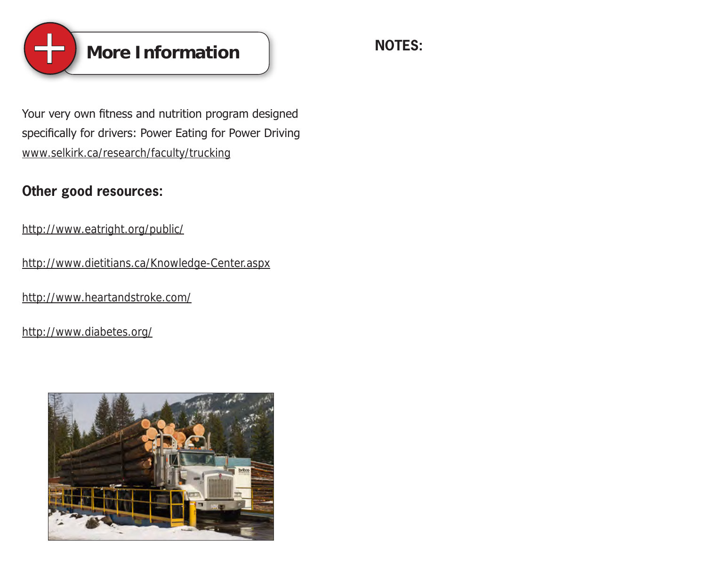

Your very own fitness and nutrition program designed specifically for drivers: Power Eating for Power Driving www.selkirk.ca/research/faculty/trucking

## **Other good resources:**

http://www.eatright.org/public/

http://www.dietitians.ca/Knowledge-Center.aspx

http://www.heartandstroke.com/

http://www.diabetes.org/